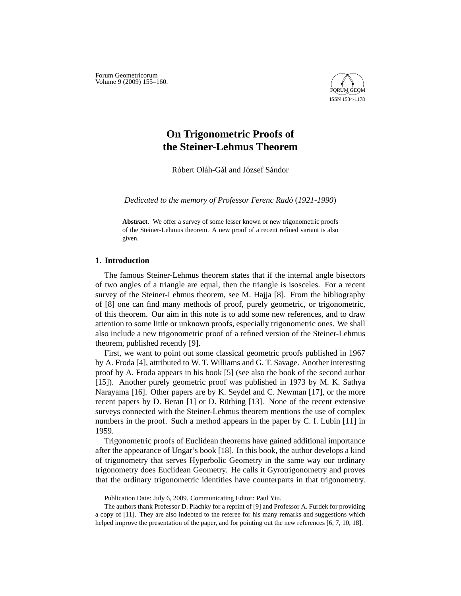Forum Geometricorum Volume 9 (2009) 155-160.



# **On Trigonometric Proofs of the Steiner-Lehmus Theorem**

Róbert Oláh-Gál and József Sándor

*Dedicated to the memory of Professor Ferenc Rado´* (*1921-1990*)

**Abstract**. We offer a survey of some lesser known or new trigonometric proofs of the Steiner-Lehmus theorem. A new proof of a recent refined variant is also given.

## **1. Introduction**

The famous Steiner-Lehmus theorem states that if the internal angle bisectors of two angles of a triangle are equal, then the triangle is isosceles. For a recent survey of the Steiner-Lehmus theorem, see M. Hajja [8]. From the bibliography of [8] one can find many methods of proof, purely geometric, or trigonometric, of this theorem. Our aim in this note is to add some new references, and to draw attention to some little or unknown proofs, especially trigonometric ones. We shall also include a new trigonometric proof of a refined version of the Steiner-Lehmus theorem, published recently [9].

First, we want to point out some classical geometric proofs published in 1967 by A. Froda [4], attributed to W. T. Williams and G. T. Savage. Another interesting proof by A. Froda appears in his book [5] (see also the book of the second author [15]). Another purely geometric proof was published in 1973 by M. K. Sathya Narayama [16]. Other papers are by K. Seydel and C. Newman [17], or the more recent papers by D. Beran  $[1]$  or D. Ruthing  $[13]$ . None of the recent extensive surveys connected with the Steiner-Lehmus theorem mentions the use of complex numbers in the proof. Such a method appears in the paper by C. I. Lubin [11] in 1959.

Trigonometric proofs of Euclidean theorems have gained additional importance after the appearance of Ungar's book [18]. In this book, the author develops a kind of trigonometry that serves Hyperbolic Geometry in the same way our ordinary trigonometry does Euclidean Geometry. He calls it Gyrotrigonometry and proves that the ordinary trigonometric identities have counterparts in that trigonometry.

Publication Date: July 6, 2009. Communicating Editor: Paul Yiu.

The authors thank Professor D. Plachky for a reprint of [9] and Professor A. Furdek for providing a copy of [11]. They are also indebted to the referee for his many remarks and suggestions which helped improve the presentation of the paper, and for pointing out the new references [6, 7, 10, 18].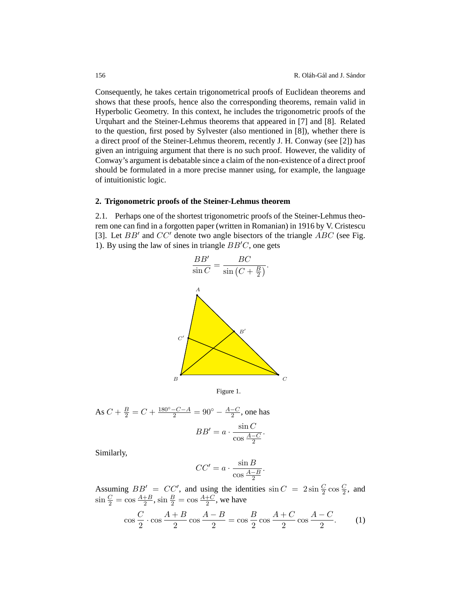Consequently, he takes certain trigonometrical proofs of Euclidean theorems and shows that these proofs, hence also the corresponding theorems, remain valid in Hyperbolic Geometry. In this context, he includes the trigonometric proofs of the Urquhart and the Steiner-Lehmus theorems that appeared in [7] and [8]. Related to the question, first posed by Sylvester (also mentioned in [8]), whether there is a direct proof of the Steiner-Lehmus theorem, recently J. H. Conway (see [2]) has given an intriguing argument that there is no such proof. However, the validity of Conway's argument is debatable since a claim of the non-existence of a direct proof should be formulated in a more precise manner using, for example, the language of intuitionistic logic.

### **2. Trigonometric proofs of the Steiner-Lehmus theorem**

2.1*.* Perhaps one of the shortest trigonometric proofs of the Steiner-Lehmus theorem one can find in a forgotten paper (written in Romanian) in 1916 by V. Cristescu [3]. Let  $BB'$  and  $CC'$  denote two angle bisectors of the triangle  $\overrightarrow{ABC}$  (see Fig. 1). By using the law of sines in triangle  $BB'C$ , one gets





As 
$$
C + \frac{B}{2} = C + \frac{180^{\circ} - C - A}{2} = 90^{\circ} - \frac{A - C}{2}
$$
, one has  

$$
BB' = a \cdot \frac{\sin C}{\cos \frac{A - C}{2}}.
$$

Similarly,

$$
CC' = a \cdot \frac{\sin B}{\cos \frac{A-B}{2}}.
$$

Assuming  $BB' = CC'$ , and using the identities  $\sin C = 2 \sin \frac{C}{2} \cos \frac{C}{2}$ , and  $\sin \frac{C}{2} = \cos \frac{A+B}{2}$ ,  $\sin \frac{B}{2} = \cos \frac{A+C}{2}$ , we have

$$
\cos\frac{C}{2}\cdot\cos\frac{A+B}{2}\cos\frac{A-B}{2} = \cos\frac{B}{2}\cos\frac{A+C}{2}\cos\frac{A-C}{2}.\tag{1}
$$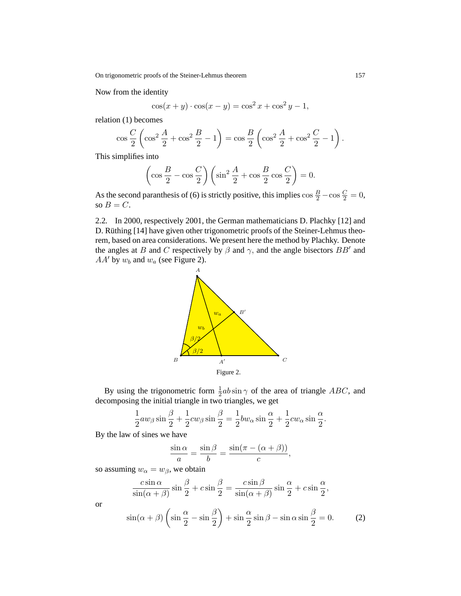On trigonometric proofs of the Steiner-Lehmus theorem 157

Now from the identity

$$
\cos(x + y) \cdot \cos(x - y) = \cos^{2} x + \cos^{2} y - 1,
$$

relation (1) becomes

$$
\cos\frac{C}{2}\left(\cos^2\frac{A}{2} + \cos^2\frac{B}{2} - 1\right) = \cos\frac{B}{2}\left(\cos^2\frac{A}{2} + \cos^2\frac{C}{2} - 1\right).
$$

This simplifies into

$$
\left(\cos\frac{B}{2} - \cos\frac{C}{2}\right)\left(\sin^2\frac{A}{2} + \cos\frac{B}{2}\cos\frac{C}{2}\right) = 0.
$$

As the second paranthesis of (6) is strictly positive, this implies  $\cos \frac{B}{2} - \cos \frac{C}{2} = 0$ , so  $B = C$ .

2.2*.* In 2000, respectively 2001, the German mathematicians D. Plachky [12] and D. Rüthing [14] have given other trigonometric proofs of the Steiner-Lehmus theorem, based on area considerations. We present here the method by Plachky. Denote the angles at B and C respectively by  $\beta$  and  $\gamma$ , and the angle bisectors BB' and  $AA'$  by  $w_b$  and  $w_a$  (see Figure 2).



By using the trigonometric form  $\frac{1}{2}ab\sin\gamma$  of the area of triangle ABC, and decomposing the initial triangle in two triangles, we get

$$
\frac{1}{2}aw_{\beta}\sin\frac{\beta}{2} + \frac{1}{2}cw_{\beta}\sin\frac{\beta}{2} = \frac{1}{2}bw_{\alpha}\sin\frac{\alpha}{2} + \frac{1}{2}cw_{\alpha}\sin\frac{\alpha}{2}.
$$

By the law of sines we have

$$
\frac{\sin \alpha}{a} = \frac{\sin \beta}{b} = \frac{\sin(\pi - (\alpha + \beta))}{c},
$$

so assuming  $w_{\alpha} = w_{\beta}$ , we obtain

$$
\frac{c\sin\alpha}{\sin(\alpha+\beta)}\sin\frac{\beta}{2}+c\sin\frac{\beta}{2}=\frac{c\sin\beta}{\sin(\alpha+\beta)}\sin\frac{\alpha}{2}+c\sin\frac{\alpha}{2},
$$

or

$$
\sin(\alpha + \beta) \left( \sin \frac{\alpha}{2} - \sin \frac{\beta}{2} \right) + \sin \frac{\alpha}{2} \sin \beta - \sin \alpha \sin \frac{\beta}{2} = 0. \tag{2}
$$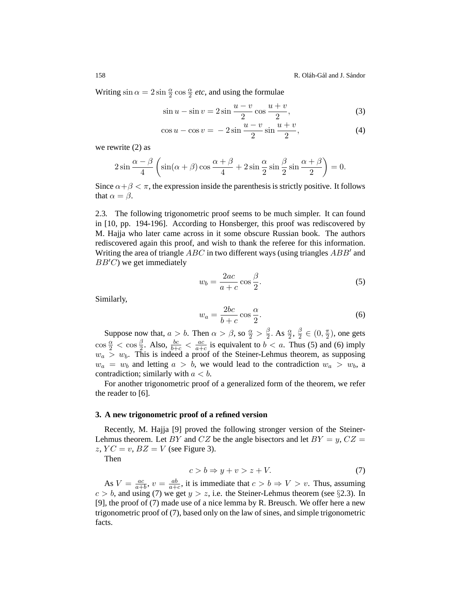Writing  $\sin \alpha = 2 \sin \frac{\alpha}{2} \cos \frac{\alpha}{2}$  *etc*, and using the formulae

$$
\sin u - \sin v = 2\sin\frac{u-v}{2}\cos\frac{u+v}{2},\tag{3}
$$

$$
\cos u - \cos v = -2\sin\frac{u-v}{2}\sin\frac{u+v}{2},\tag{4}
$$

we rewrite (2) as

$$
2\sin\frac{\alpha-\beta}{4}\left(\sin(\alpha+\beta)\cos\frac{\alpha+\beta}{4}+2\sin\frac{\alpha}{2}\sin\frac{\beta}{2}\sin\frac{\alpha+\beta}{2}\right)=0.
$$

Since  $\alpha + \beta < \pi$ , the expression inside the parenthesis is strictly positive. It follows that  $\alpha = \beta$ .

2.3*.* The following trigonometric proof seems to be much simpler. It can found in [10, pp. 194-196]. According to Honsberger, this proof was rediscovered by M. Hajja who later came across in it some obscure Russian book. The authors rediscovered again this proof, and wish to thank the referee for this information. Writing the area of triangle  $\overrightarrow{ABC}$  in two different ways (using triangles  $ABB'$  and  $BB'C$ ) we get immediately

$$
w_b = \frac{2ac}{a+c} \cos \frac{\beta}{2}.
$$
 (5)

Similarly,

$$
w_a = \frac{2bc}{b+c} \cos \frac{\alpha}{2}.
$$
 (6)

Suppose now that,  $a > b$ . Then  $\alpha > \beta$ , so  $\frac{\alpha}{2} > \frac{\beta}{2}$ . As  $\frac{\alpha}{2}$ ,  $\frac{\beta}{2} \in (0, \frac{\pi}{2})$ , one gets  $\cos \frac{\alpha}{2} < \cos \frac{\beta}{2}$ . Also,  $\frac{bc}{b+c} < \frac{ac}{a+c}$  is equivalent to  $b < a$ . Thus (5) and (6) imply  $w_a > w_b$ . This is indeed a proof of the Steiner-Lehmus theorem, as supposing  $w_a = w_b$  and letting  $a > b$ , we would lead to the contradiction  $w_a > w_b$ , a contradiction; similarly with  $a < b$ .

For another trigonometric proof of a generalized form of the theorem, we refer the reader to [6].

#### **3. A new trigonometric proof of a refined version**

Recently, M. Hajja [9] proved the following stronger version of the Steiner-Lehmus theorem. Let BY and CZ be the angle bisectors and let  $BY = y$ ,  $CZ =$ z,  $YC = v$ ,  $BZ = V$  (see Figure 3).

Then

$$
c > b \Rightarrow y + v > z + V. \tag{7}
$$

As  $V = \frac{ac}{a+b}$ ,  $v = \frac{ab}{a+c}$ , it is immediate that  $c > b \Rightarrow V > v$ . Thus, assuming  $c > b$ , and using (7) we get  $y > z$ , i.e. the Steiner-Lehmus theorem (see §2.3). In [9], the proof of (7) made use of a nice lemma by R. Breusch. We offer here a new trigonometric proof of (7), based only on the law of sines, and simple trigonometric facts.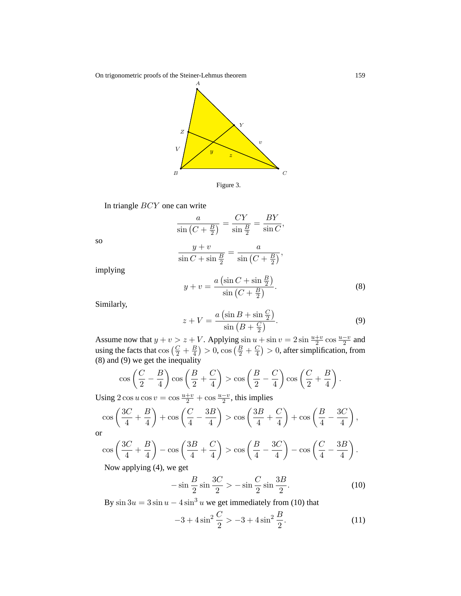On trigonometric proofs of the Steiner-Lehmus theorem 159



In triangle BCY one can write

$$
\frac{a}{\sin\left(C + \frac{B}{2}\right)} = \frac{CY}{\sin\frac{B}{2}} = \frac{BY}{\sin C},
$$

so

$$
\frac{y+v}{\sin C + \sin \frac{B}{2}} = \frac{a}{\sin (C + \frac{B}{2})},
$$

implying

$$
y + v = \frac{a\left(\sin C + \sin \frac{B}{2}\right)}{\sin \left(C + \frac{B}{2}\right)}.
$$
\n(8)

Similarly,

$$
z + V = \frac{a\left(\sin B + \sin \frac{C}{2}\right)}{\sin\left(B + \frac{C}{2}\right)}.\tag{9}
$$

Assume now that  $y + v > z + V$ . Applying  $\sin u + \sin v = 2 \sin \frac{u+v}{2} \cos \frac{u-v}{2}$  and using the facts that  $\cos\left(\frac{C}{2} + \frac{B}{4}\right) > 0$ ,  $\cos\left(\frac{B}{2} + \frac{C}{4}\right) > 0$ , after simplification, from (8) and (9) we get the inequality

$$
\cos\left(\frac{C}{2} - \frac{B}{4}\right)\cos\left(\frac{B}{2} + \frac{C}{4}\right) > \cos\left(\frac{B}{2} - \frac{C}{4}\right)\cos\left(\frac{C}{2} + \frac{B}{4}\right).
$$

Using  $2 \cos u \cos v = \cos \frac{u+v}{2} + \cos \frac{u-v}{2}$ , this implies

$$
\cos\left(\frac{3C}{4} + \frac{B}{4}\right) + \cos\left(\frac{C}{4} - \frac{3B}{4}\right) > \cos\left(\frac{3B}{4} + \frac{C}{4}\right) + \cos\left(\frac{B}{4} - \frac{3C}{4}\right),
$$

or

$$
\cos\left(\frac{3C}{4} + \frac{B}{4}\right) - \cos\left(\frac{3B}{4} + \frac{C}{4}\right) > \cos\left(\frac{B}{4} - \frac{3C}{4}\right) - \cos\left(\frac{C}{4} - \frac{3B}{4}\right).
$$
\nNow, applying (4) we set

Now applying (4), we get

$$
-\sin\frac{B}{2}\sin\frac{3C}{2} > -\sin\frac{C}{2}\sin\frac{3B}{2}.\tag{10}
$$

By  $\sin 3u = 3 \sin u - 4 \sin^3 u$  we get immediately from (10) that

$$
-3 + 4\sin^2\frac{C}{2} > -3 + 4\sin^2\frac{B}{2}.\tag{11}
$$